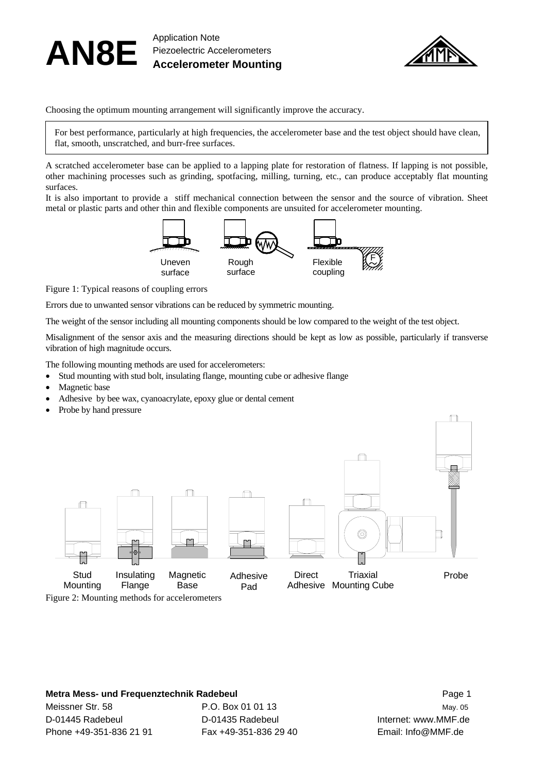



Choosing the optimum mounting arrangement will significantly improve the accuracy.

For best performance, particularly at high frequencies, the accelerometer base and the test object should have clean, flat, smooth, unscratched, and burr-free surfaces.

A scratched accelerometer base can be applied to a lapping plate for restoration of flatness. If lapping is not possible, other machining processes such as grinding, spotfacing, milling, turning, etc., can produce acceptably flat mounting surfaces.

It is also important to provide a stiff mechanical connection between the sensor and the source of vibration. Sheet metal or plastic parts and other thin and flexible components are unsuited for accelerometer mounting.



Figure 1: Typical reasons of coupling errors

Errors due to unwanted sensor vibrations can be reduced by symmetric mounting.

The weight of the sensor including all mounting components should be low compared to the weight of the test object.

Misalignment of the sensor axis and the measuring directions should be kept as low as possible, particularly if transverse vibration of high magnitude occurs.

The following mounting methods are used for accelerometers:

- Stud mounting with stud bolt, insulating flange, mounting cube or adhesive flange
- Magnetic base
- Adhesive by bee wax, cyanoacrylate, epoxy glue or dental cement
- Probe by hand pressure



## **Metra Mess- und Frequenztechnik Radebeul Communisties and American Page 1 Automobile Page 1**

Meissner Str. 58 **P.O. Box 01 01 13** May. 05 May. 05 D-01445 Radebeul D-01435 Radebeul Internet: www.MMF.de Phone +49-351-836 21 91 Fax +49-351-836 29 40 Email: Info@MMF.de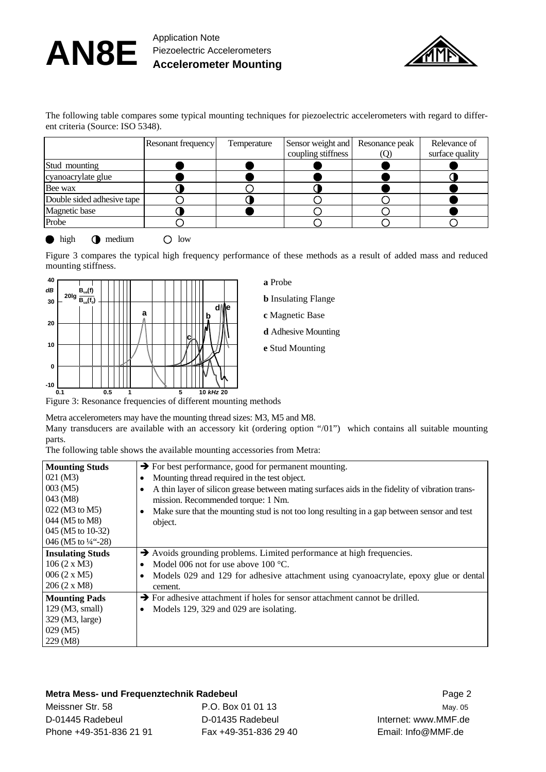## AN8E Application Note Piezoelectric Accelerometers **Accelerometer Mounting**



The following table compares some typical mounting techniques for piezoelectric accelerometers with regard to different criteria (Source: ISO 5348).

| Resonant frequency | Temperature |                    | Relevance of                     |
|--------------------|-------------|--------------------|----------------------------------|
|                    |             | coupling stiffness | surface quality                  |
|                    |             |                    |                                  |
|                    |             |                    |                                  |
|                    |             |                    |                                  |
|                    |             |                    |                                  |
|                    |             |                    |                                  |
|                    |             |                    |                                  |
|                    |             |                    | Sensor weight and Resonance peak |

high  $\bigcap$  medium  $\bigcap$  low

Figure 3 compares the typical high frequency performance of these methods as a result of added mass and reduced mounting stiffness.



**a** Probe

**b** Insulating Flange

**c** Magnetic Base

- **d** Adhesive Mounting
- **e** Stud Mounting

Figure 3: Resonance frequencies of different mounting methods

Metra accelerometers may have the mounting thread sizes: M3, M5 and M8.

Many transducers are available with an accessory kit (ordering option "/01") which contains all suitable mounting parts.

The following table shows the available mounting accessories from Metra:

| <b>Mounting Studs</b>         | $\rightarrow$ For best performance, good for permanent mounting.                                |
|-------------------------------|-------------------------------------------------------------------------------------------------|
| $021 \, (M3)$                 | Mounting thread required in the test object.                                                    |
| $003 \,(M5)$                  | A thin layer of silicon grease between mating surfaces aids in the fidelity of vibration trans- |
| 043 (M8)                      | mission. Recommended torque: 1 Nm.                                                              |
| 022 (M3 to M5)                | Make sure that the mounting stud is not too long resulting in a gap between sensor and test     |
| 044 (M5 to M8)                | object.                                                                                         |
| 045 (M5 to 10-32)             |                                                                                                 |
| 046 (M5 to $\frac{1}{4}$ -28) |                                                                                                 |
| <b>Insulating Studs</b>       | Avoids grounding problems. Limited performance at high frequencies.                             |
| 106 (2 x M3)                  | Model 006 not for use above 100 $^{\circ}$ C.                                                   |
| 006 (2 x M5)                  | Models 029 and 129 for adhesive attachment using cyanoacrylate, epoxy glue or dental            |
| $206 (2 \times M8)$           | cement.                                                                                         |
| <b>Mounting Pads</b>          | $\rightarrow$ For adhesive attachment if holes for sensor attachment cannot be drilled.         |
| 129 (M3, small)               | Models 129, 329 and 029 are isolating.<br>٠                                                     |
| 329 (M3, large)               |                                                                                                 |
| $029 \,(M5)$                  |                                                                                                 |
| $229 \,(M8)$                  |                                                                                                 |

## **Metra Mess- und Frequenztechnik Radebeul Communisties and American Page 2**

Meissner Str. 58 **P.O. Box 01 01 13** May. 05 D-01445 Radebeul D-01435 Radebeul Internet: www.MMF.de Phone +49-351-836 21 91 Fax +49-351-836 29 40 Email: Info@MMF.de